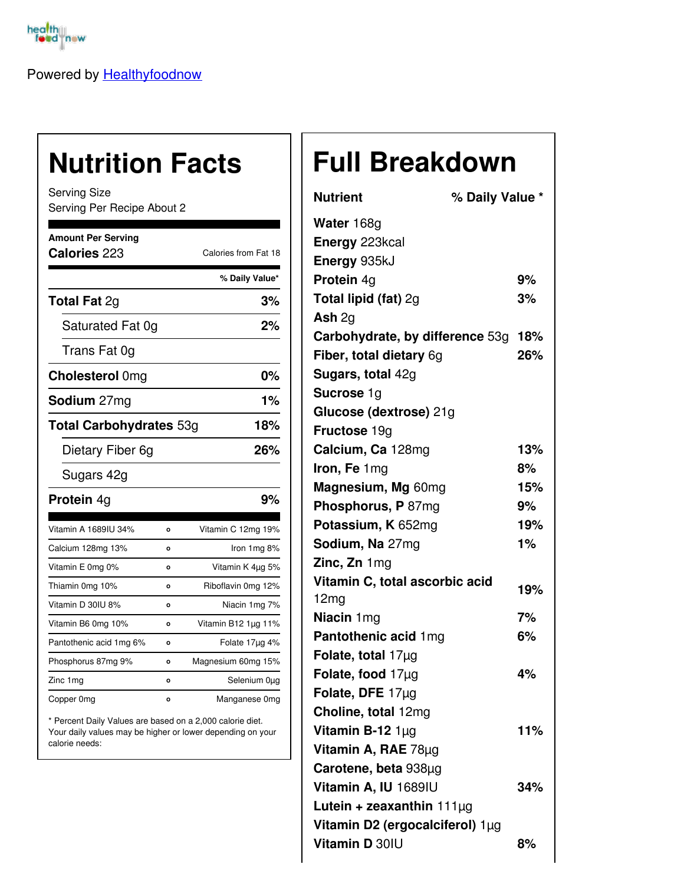

Powered by [Healthyfoodnow](https://healthyfoodnow.com)

## **Nutrition Facts**

Serving Size Serving Per Recipe About 2

| <b>Amount Per Serving</b><br>Calories 223 |         | Calories from Fat 18 |  |
|-------------------------------------------|---------|----------------------|--|
|                                           |         | % Daily Value*       |  |
| <b>Total Fat 2g</b>                       |         | 3%                   |  |
| Saturated Fat 0g                          |         | 2%                   |  |
| Trans Fat 0g                              |         |                      |  |
| <b>Cholesterol Omg</b>                    |         | 0%                   |  |
| Sodium 27mg                               |         | 1%                   |  |
| <b>Total Carbohydrates 53g</b>            |         | 18%                  |  |
| Dietary Fiber 6g                          |         | 26%                  |  |
| Sugars 42g                                |         |                      |  |
| <b>Protein 4g</b>                         |         | 9%                   |  |
| Vitamin A 1689IU 34%                      | o       | Vitamin C 12mg 19%   |  |
| Calcium 128mg 13%                         | Ō       | Iron 1mg 8%          |  |
| Vitamin E 0mg 0%                          | O       | Vitamin K 4µg 5%     |  |
| Thiamin 0mg 10%                           | о       | Riboflavin 0mg 12%   |  |
| Vitamin D 30IU 8%                         | o       | Niacin 1mg 7%        |  |
| Vitamin B6 0mg 10%                        | $\circ$ | Vitamin B12 1µg 11%  |  |
| Pantothenic acid 1mg 6%                   | $\circ$ | Folate 17µg 4%       |  |
| Phosphorus 87mg 9%                        | $\circ$ | Magnesium 60mg 15%   |  |
| Zinc 1 mg                                 | O       | Selenium 0µg         |  |
| Copper 0mg                                | o       | Manganese 0mg        |  |

\* Percent Daily Values are based on a 2,000 calorie diet. Your daily values may be higher or lower depending on your calorie needs:

## **Full Breakdown**

| <b>Nutrient</b>                 | % Daily Value * |       |
|---------------------------------|-----------------|-------|
| Water 168g                      |                 |       |
| Energy 223kcal                  |                 |       |
| Energy 935kJ                    |                 |       |
| Protein 4g                      |                 | 9%    |
| Total lipid (fat) 2g            |                 | 3%    |
| Ash $2q$                        |                 |       |
| Carbohydrate, by difference 53g |                 | 18%   |
| Fiber, total dietary 6g         |                 | 26%   |
| Sugars, total 42g               |                 |       |
| Sucrose 1g                      |                 |       |
| Glucose (dextrose) 21g          |                 |       |
| Fructose 19g                    |                 |       |
| Calcium, Ca 128mg               |                 | 13%   |
| Iron, Fe 1mg                    |                 | 8%    |
| Magnesium, Mg 60mg              |                 | 15%   |
| Phosphorus, P 87mg              |                 | 9%    |
| Potassium, K 652mg              |                 | 19%   |
| Sodium, Na 27mg                 |                 | $1\%$ |
| Zinc, Zn 1mg                    |                 |       |
| Vitamin C, total ascorbic acid  |                 | 19%   |
| 12mg                            |                 |       |
| Niacin 1mg                      |                 | 7%    |
| Pantothenic acid 1mg            |                 | 6%    |
| Folate, total $17\mu$ g         |                 |       |
| Folate, food $17\mu$ g          |                 | 4%    |
| Folate, DFE $17\mu$ g           |                 |       |
| Choline, total 12mg             |                 |       |
| Vitamin B-12 $1\mu$ g           |                 | 11%   |
| Vitamin A, RAE 78µg             |                 |       |
| Carotene, beta 938µg            |                 |       |
| Vitamin A, IU 1689IU            |                 | 34%   |
| Lutein + zeaxanthin $111\mu g$  |                 |       |
| Vitamin D2 (ergocalciferol) 1µg |                 |       |
| Vitamin D 30IU                  |                 | 8%    |